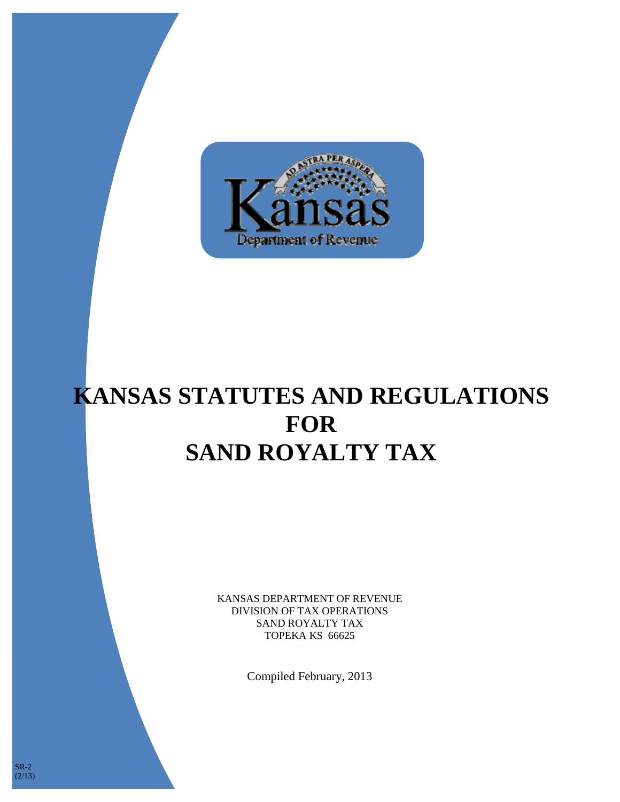

# **KANSAS STATUTES AND REGULATIONS FOR SAND ROYALTY TAX**

KANSAS DEPARTMENT OF REVENUE DIVISION OF TAX OPERATIONS SAND ROYALTY TAX TOPEKA KS 66625

Compiled February, 2013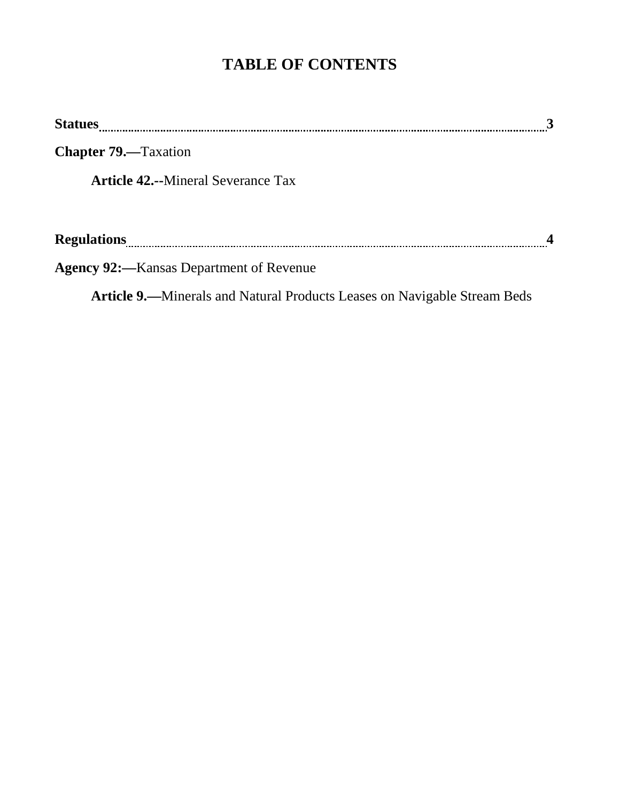# **TABLE OF CONTENTS**

| <b>Statues</b>                                                                  | 3 |
|---------------------------------------------------------------------------------|---|
| <b>Chapter 79.</b> —Taxation                                                    |   |
| <b>Article 42.--Mineral Severance Tax</b>                                       |   |
|                                                                                 |   |
|                                                                                 |   |
| <b>Agency 92:</b> —Kansas Department of Revenue                                 |   |
| <b>Article 9.—Minerals and Natural Products Leases on Navigable Stream Beds</b> |   |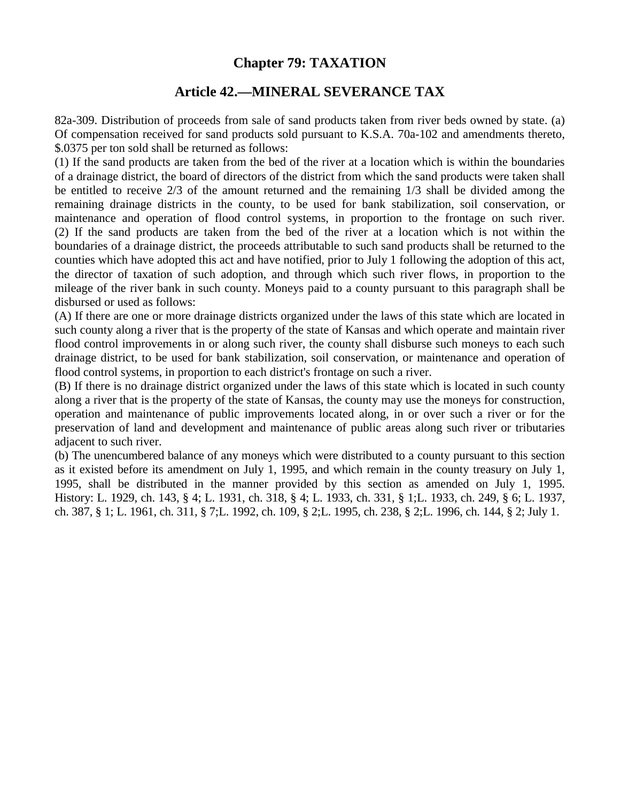### **Chapter 79: TAXATION**

#### **Article 42.—MINERAL SEVERANCE TAX**

82a-309. Distribution of proceeds from sale of sand products taken from river beds owned by state. (a) Of compensation received for sand products sold pursuant to K.S.A. 70a-102 and amendments thereto, \$.0375 per ton sold shall be returned as follows:

(1) If the sand products are taken from the bed of the river at a location which is within the boundaries of a drainage district, the board of directors of the district from which the sand products were taken shall be entitled to receive 2/3 of the amount returned and the remaining 1/3 shall be divided among the remaining drainage districts in the county, to be used for bank stabilization, soil conservation, or maintenance and operation of flood control systems, in proportion to the frontage on such river. (2) If the sand products are taken from the bed of the river at a location which is not within the boundaries of a drainage district, the proceeds attributable to such sand products shall be returned to the counties which have adopted this act and have notified, prior to July 1 following the adoption of this act, the director of taxation of such adoption, and through which such river flows, in proportion to the mileage of the river bank in such county. Moneys paid to a county pursuant to this paragraph shall be disbursed or used as follows:

(A) If there are one or more drainage districts organized under the laws of this state which are located in such county along a river that is the property of the state of Kansas and which operate and maintain river flood control improvements in or along such river, the county shall disburse such moneys to each such drainage district, to be used for bank stabilization, soil conservation, or maintenance and operation of flood control systems, in proportion to each district's frontage on such a river.

(B) If there is no drainage district organized under the laws of this state which is located in such county along a river that is the property of the state of Kansas, the county may use the moneys for construction, operation and maintenance of public improvements located along, in or over such a river or for the preservation of land and development and maintenance of public areas along such river or tributaries adjacent to such river.

(b) The unencumbered balance of any moneys which were distributed to a county pursuant to this section as it existed before its amendment on July 1, 1995, and which remain in the county treasury on July 1, 1995, shall be distributed in the manner provided by this section as amended on July 1, 1995. History: L. 1929, ch. 143, § 4; L. 1931, ch. 318, § 4; L. 1933, ch. 331, § 1;L. 1933, ch. 249, § 6; L. 1937, ch. 387, § 1; L. 1961, ch. 311, § 7;L. 1992, ch. 109, § 2;L. 1995, ch. 238, § 2;L. 1996, ch. 144, § 2; July 1.